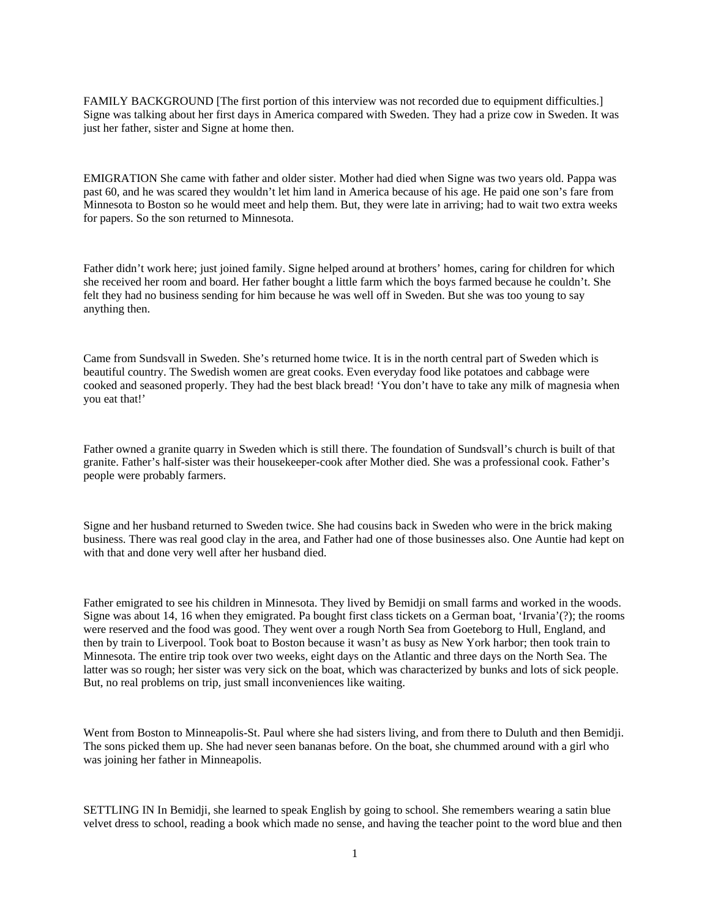FAMILY BACKGROUND [The first portion of this interview was not recorded due to equipment difficulties.] Signe was talking about her first days in America compared with Sweden. They had a prize cow in Sweden. It was just her father, sister and Signe at home then.

EMIGRATION She came with father and older sister. Mother had died when Signe was two years old. Pappa was past 60, and he was scared they wouldn't let him land in America because of his age. He paid one son's fare from Minnesota to Boston so he would meet and help them. But, they were late in arriving; had to wait two extra weeks for papers. So the son returned to Minnesota.

Father didn't work here; just joined family. Signe helped around at brothers' homes, caring for children for which she received her room and board. Her father bought a little farm which the boys farmed because he couldn't. She felt they had no business sending for him because he was well off in Sweden. But she was too young to say anything then.

Came from Sundsvall in Sweden. She's returned home twice. It is in the north central part of Sweden which is beautiful country. The Swedish women are great cooks. Even everyday food like potatoes and cabbage were cooked and seasoned properly. They had the best black bread! 'You don't have to take any milk of magnesia when you eat that!'

Father owned a granite quarry in Sweden which is still there. The foundation of Sundsvall's church is built of that granite. Father's half-sister was their housekeeper-cook after Mother died. She was a professional cook. Father's people were probably farmers.

Signe and her husband returned to Sweden twice. She had cousins back in Sweden who were in the brick making business. There was real good clay in the area, and Father had one of those businesses also. One Auntie had kept on with that and done very well after her husband died.

Father emigrated to see his children in Minnesota. They lived by Bemidji on small farms and worked in the woods. Signe was about 14, 16 when they emigrated. Pa bought first class tickets on a German boat, 'Irvania'(?); the rooms were reserved and the food was good. They went over a rough North Sea from Goeteborg to Hull, England, and then by train to Liverpool. Took boat to Boston because it wasn't as busy as New York harbor; then took train to Minnesota. The entire trip took over two weeks, eight days on the Atlantic and three days on the North Sea. The latter was so rough; her sister was very sick on the boat, which was characterized by bunks and lots of sick people. But, no real problems on trip, just small inconveniences like waiting.

Went from Boston to Minneapolis-St. Paul where she had sisters living, and from there to Duluth and then Bemidji. The sons picked them up. She had never seen bananas before. On the boat, she chummed around with a girl who was joining her father in Minneapolis.

SETTLING IN In Bemidji, she learned to speak English by going to school. She remembers wearing a satin blue velvet dress to school, reading a book which made no sense, and having the teacher point to the word blue and then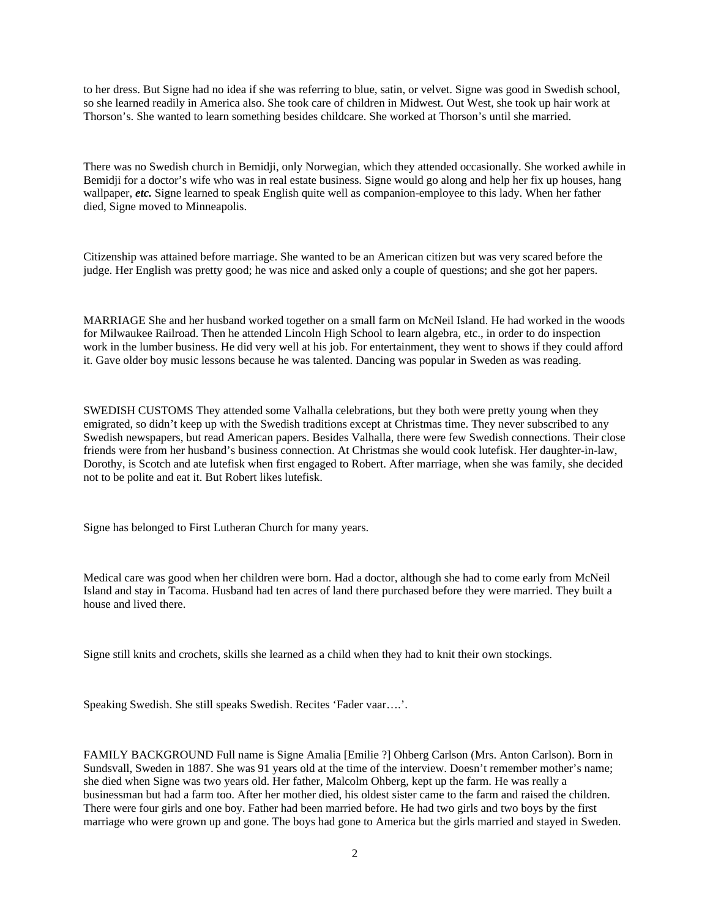to her dress. But Signe had no idea if she was referring to blue, satin, or velvet. Signe was good in Swedish school, so she learned readily in America also. She took care of children in Midwest. Out West, she took up hair work at Thorson's. She wanted to learn something besides childcare. She worked at Thorson's until she married.

There was no Swedish church in Bemidji, only Norwegian, which they attended occasionally. She worked awhile in Bemidji for a doctor's wife who was in real estate business. Signe would go along and help her fix up houses, hang wallpaper, *etc.* Signe learned to speak English quite well as companion-employee to this lady. When her father died, Signe moved to Minneapolis.

Citizenship was attained before marriage. She wanted to be an American citizen but was very scared before the judge. Her English was pretty good; he was nice and asked only a couple of questions; and she got her papers.

MARRIAGE She and her husband worked together on a small farm on McNeil Island. He had worked in the woods for Milwaukee Railroad. Then he attended Lincoln High School to learn algebra, etc., in order to do inspection work in the lumber business. He did very well at his job. For entertainment, they went to shows if they could afford it. Gave older boy music lessons because he was talented. Dancing was popular in Sweden as was reading.

SWEDISH CUSTOMS They attended some Valhalla celebrations, but they both were pretty young when they emigrated, so didn't keep up with the Swedish traditions except at Christmas time. They never subscribed to any Swedish newspapers, but read American papers. Besides Valhalla, there were few Swedish connections. Their close friends were from her husband's business connection. At Christmas she would cook lutefisk. Her daughter-in-law, Dorothy, is Scotch and ate lutefisk when first engaged to Robert. After marriage, when she was family, she decided not to be polite and eat it. But Robert likes lutefisk.

Signe has belonged to First Lutheran Church for many years.

Medical care was good when her children were born. Had a doctor, although she had to come early from McNeil Island and stay in Tacoma. Husband had ten acres of land there purchased before they were married. They built a house and lived there.

Signe still knits and crochets, skills she learned as a child when they had to knit their own stockings.

Speaking Swedish. She still speaks Swedish. Recites 'Fader vaar….'.

FAMILY BACKGROUND Full name is Signe Amalia [Emilie ?] Ohberg Carlson (Mrs. Anton Carlson). Born in Sundsvall, Sweden in 1887. She was 91 years old at the time of the interview. Doesn't remember mother's name; she died when Signe was two years old. Her father, Malcolm Ohberg, kept up the farm. He was really a businessman but had a farm too. After her mother died, his oldest sister came to the farm and raised the children. There were four girls and one boy. Father had been married before. He had two girls and two boys by the first marriage who were grown up and gone. The boys had gone to America but the girls married and stayed in Sweden.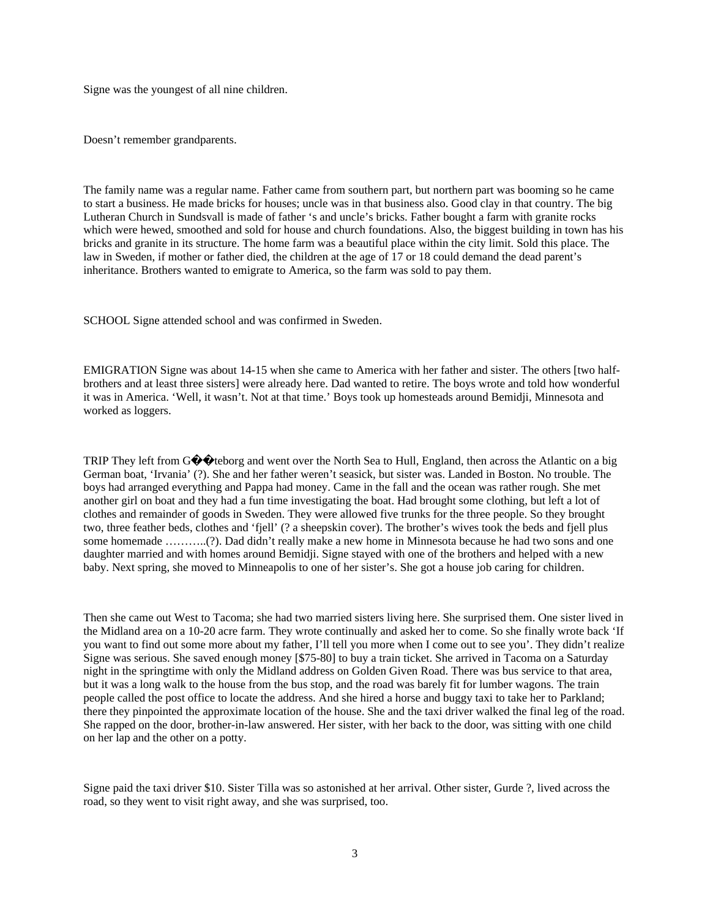Signe was the youngest of all nine children.

Doesn't remember grandparents.

The family name was a regular name. Father came from southern part, but northern part was booming so he came to start a business. He made bricks for houses; uncle was in that business also. Good clay in that country. The big Lutheran Church in Sundsvall is made of father 's and uncle's bricks. Father bought a farm with granite rocks which were hewed, smoothed and sold for house and church foundations. Also, the biggest building in town has his bricks and granite in its structure. The home farm was a beautiful place within the city limit. Sold this place. The law in Sweden, if mother or father died, the children at the age of 17 or 18 could demand the dead parent's inheritance. Brothers wanted to emigrate to America, so the farm was sold to pay them.

SCHOOL Signe attended school and was confirmed in Sweden.

EMIGRATION Signe was about 14-15 when she came to America with her father and sister. The others [two halfbrothers and at least three sisters] were already here. Dad wanted to retire. The boys wrote and told how wonderful it was in America. 'Well, it wasn't. Not at that time.' Boys took up homesteads around Bemidji, Minnesota and worked as loggers.

TRIP They left from G��teborg and went over the North Sea to Hull, England, then across the Atlantic on a big German boat, 'Irvania' (?). She and her father weren't seasick, but sister was. Landed in Boston. No trouble. The boys had arranged everything and Pappa had money. Came in the fall and the ocean was rather rough. She met another girl on boat and they had a fun time investigating the boat. Had brought some clothing, but left a lot of clothes and remainder of goods in Sweden. They were allowed five trunks for the three people. So they brought two, three feather beds, clothes and 'fjell' (? a sheepskin cover). The brother's wives took the beds and fjell plus some homemade ………..(?). Dad didn't really make a new home in Minnesota because he had two sons and one daughter married and with homes around Bemidji. Signe stayed with one of the brothers and helped with a new baby. Next spring, she moved to Minneapolis to one of her sister's. She got a house job caring for children.

Then she came out West to Tacoma; she had two married sisters living here. She surprised them. One sister lived in the Midland area on a 10-20 acre farm. They wrote continually and asked her to come. So she finally wrote back 'If you want to find out some more about my father, I'll tell you more when I come out to see you'. They didn't realize Signe was serious. She saved enough money [\$75-80] to buy a train ticket. She arrived in Tacoma on a Saturday night in the springtime with only the Midland address on Golden Given Road. There was bus service to that area, but it was a long walk to the house from the bus stop, and the road was barely fit for lumber wagons. The train people called the post office to locate the address. And she hired a horse and buggy taxi to take her to Parkland; there they pinpointed the approximate location of the house. She and the taxi driver walked the final leg of the road. She rapped on the door, brother-in-law answered. Her sister, with her back to the door, was sitting with one child on her lap and the other on a potty.

Signe paid the taxi driver \$10. Sister Tilla was so astonished at her arrival. Other sister, Gurde ?, lived across the road, so they went to visit right away, and she was surprised, too.